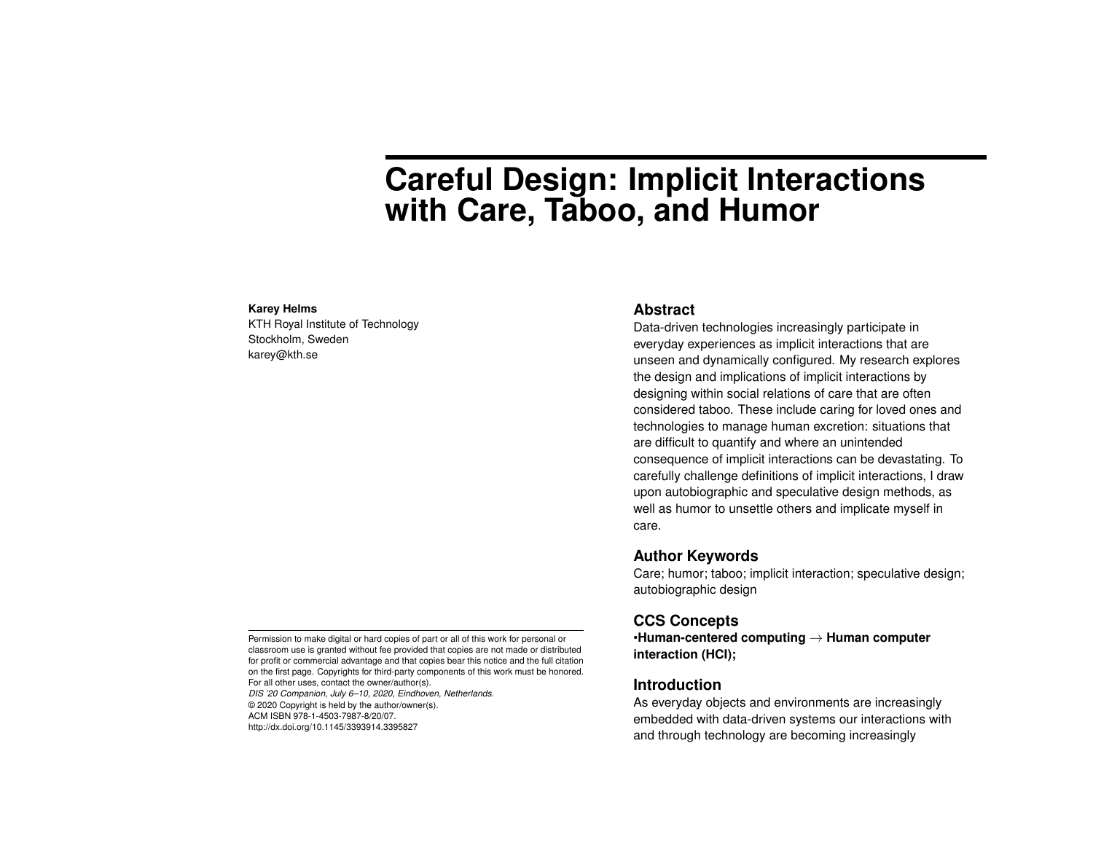# **Careful Design: Implicit Interactions with Care, Taboo, and Humor**

#### **Karey Helms**

KTH Royal Institute of Technology Stockholm, Sweden karey@kth.se

## **Abstract**

Data-driven technologies increasingly participate in everyday experiences as implicit interactions that are unseen and dynamically configured. My research explores the design and implications of implicit interactions by designing within social relations of care that are often considered taboo. These include caring for loved ones and technologies to manage human excretion: situations that are difficult to quantify and where an unintended consequence of implicit interactions can be devastating. To carefully challenge definitions of implicit interactions, I draw upon autobiographic and speculative design methods, as well as humor to unsettle others and implicate myself in care.

# **Author Keywords**

Care; humor; taboo; implicit interaction; speculative design; autobiographic design

# **CCS Concepts**

•**Human-centered computing** → **Human computer interaction (HCI);**

# **Introduction**

As everyday objects and environments are increasingly embedded with data-driven systems our interactions with and through technology are becoming increasingly

Permission to make digital or hard copies of part or all of this work for personal or classroom use is granted without fee provided that copies are not made or distributed for profit or commercial advantage and that copies bear this notice and the full citation on the first page. Copyrights for third-party components of this work must be honored. For all other uses, contact the owner/author(s).

*DIS '20 Companion, July 6–10, 2020, Eindhoven, Netherlands.* © 2020 Copyright is held by the author/owner(s). ACM ISBN 978-1-4503-7987-8/20/07. http://dx.doi.org/10.1145/3393914.3395827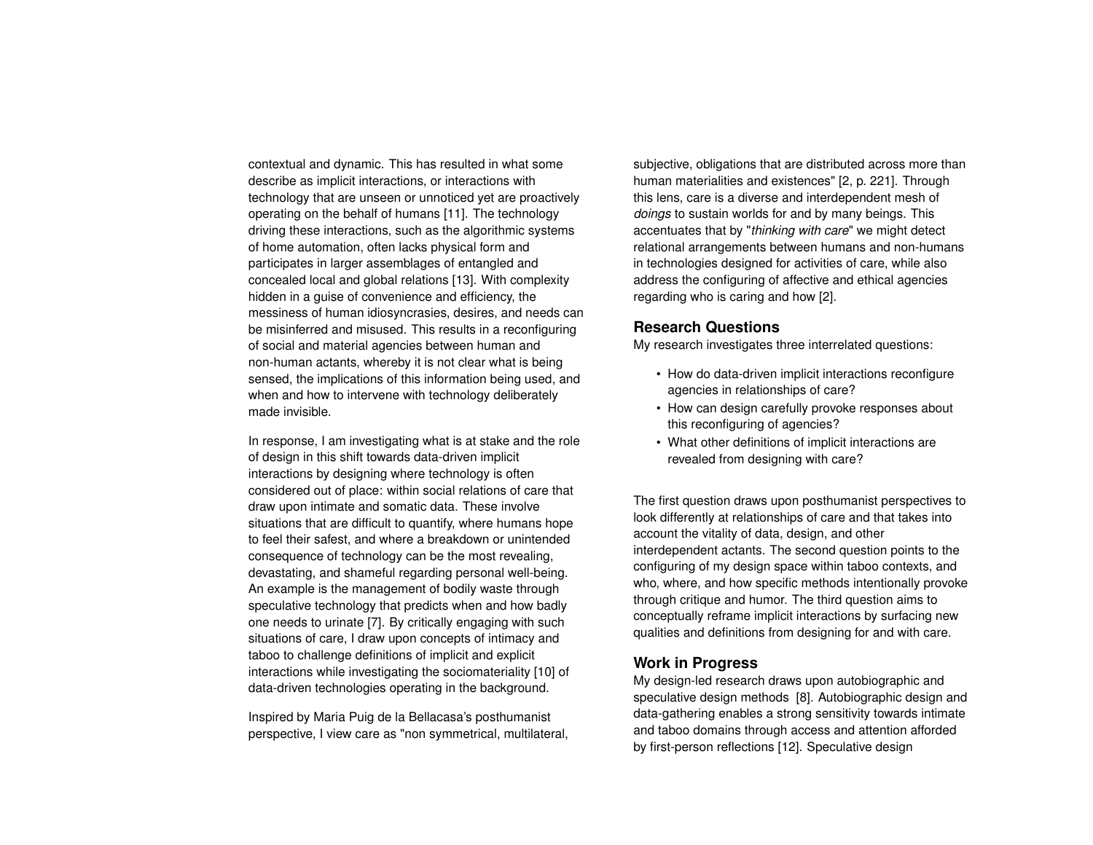contextual and dynamic. This has resulted in what some describe as implicit interactions, or interactions with technology that are unseen or unnoticed yet are proactively operating on the behalf of humans [\[11\]](#page-4-0). The technology driving these interactions, such as the algorithmic systems of home automation, often lacks physical form and participates in larger assemblages of entangled and concealed local and global relations [\[13\]](#page-4-1). With complexity hidden in a guise of convenience and efficiency, the messiness of human idiosyncrasies, desires, and needs can be misinferred and misused. This results in a reconfiguring of social and material agencies between human and non-human actants, whereby it is not clear what is being sensed, the implications of this information being used, and when and how to intervene with technology deliberately made invisible.

In response, I am investigating what is at stake and the role of design in this shift towards data-driven implicit interactions by designing where technology is often considered out of place: within social relations of care that draw upon intimate and somatic data. These involve situations that are difficult to quantify, where humans hope to feel their safest, and where a breakdown or unintended consequence of technology can be the most revealing, devastating, and shameful regarding personal well-being. An example is the management of bodily waste through speculative technology that predicts when and how badly one needs to urinate [\[7\]](#page-4-2). By critically engaging with such situations of care, I draw upon concepts of intimacy and taboo to challenge definitions of implicit and explicit interactions while investigating the sociomateriality [\[10\]](#page-4-3) of data-driven technologies operating in the background.

Inspired by Maria Puig de la Bellacasa's posthumanist perspective, I view care as "non symmetrical, multilateral, subjective, obligations that are distributed across more than human materialities and existences" [\[2,](#page-4-4) p. 221]. Through this lens, care is a diverse and interdependent mesh of *doings* to sustain worlds for and by many beings. This accentuates that by "*thinking with care*" we might detect relational arrangements between humans and non-humans in technologies designed for activities of care, while also address the configuring of affective and ethical agencies regarding who is caring and how [\[2\]](#page-4-4).

# **Research Questions**

My research investigates three interrelated questions:

- How do data-driven implicit interactions reconfigure agencies in relationships of care?
- How can design carefully provoke responses about this reconfiguring of agencies?
- What other definitions of implicit interactions are revealed from designing with care?

The first question draws upon posthumanist perspectives to look differently at relationships of care and that takes into account the vitality of data, design, and other interdependent actants. The second question points to the configuring of my design space within taboo contexts, and who, where, and how specific methods intentionally provoke through critique and humor. The third question aims to conceptually reframe implicit interactions by surfacing new qualities and definitions from designing for and with care.

# **Work in Progress**

My design-led research draws upon autobiographic and speculative design methods [\[8\]](#page-4-5). Autobiographic design and data-gathering enables a strong sensitivity towards intimate and taboo domains through access and attention afforded by first-person reflections [\[12\]](#page-4-6). Speculative design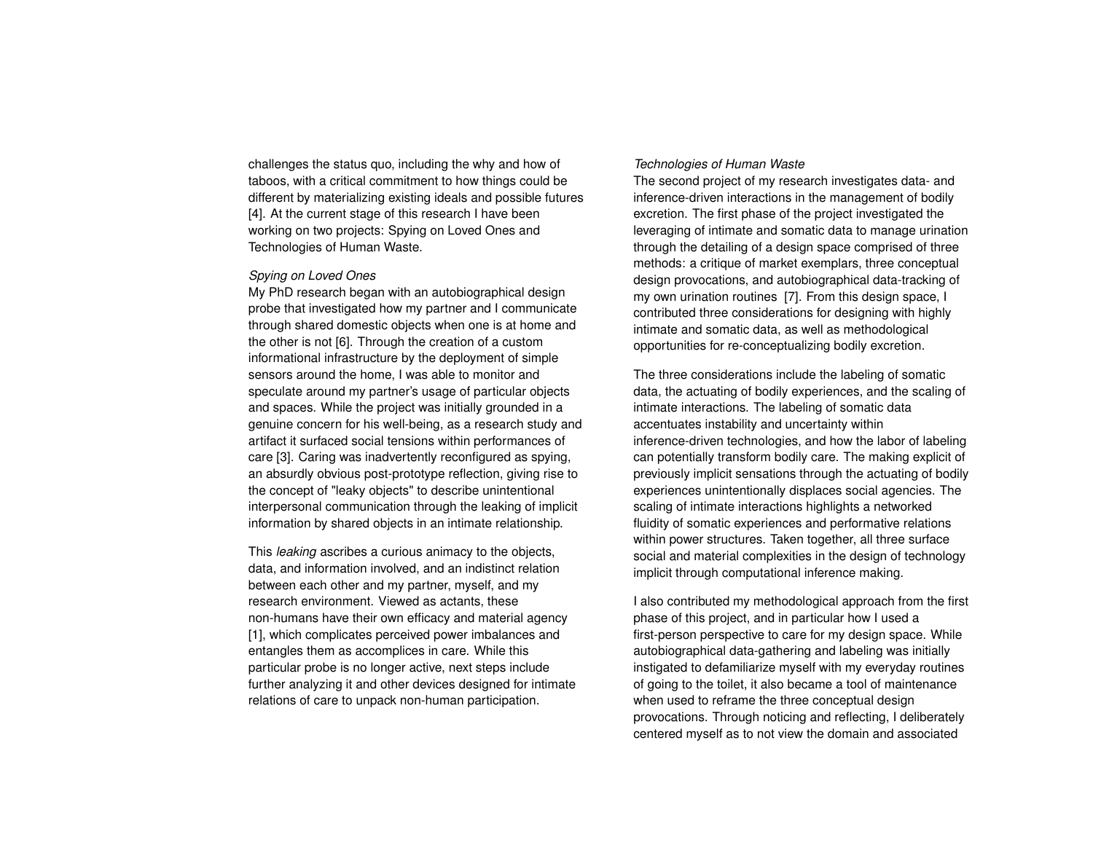challenges the status quo, including the why and how of taboos, with a critical commitment to how things could be different by materializing existing ideals and possible futures [\[4\]](#page-4-7). At the current stage of this research I have been working on two projects: Spying on Loved Ones and Technologies of Human Waste.

#### *Spying on Loved Ones*

My PhD research began with an autobiographical design probe that investigated how my partner and I communicate through shared domestic objects when one is at home and the other is not [\[6\]](#page-4-8). Through the creation of a custom informational infrastructure by the deployment of simple sensors around the home, I was able to monitor and speculate around my partner's usage of particular objects and spaces. While the project was initially grounded in a genuine concern for his well-being, as a research study and artifact it surfaced social tensions within performances of care [\[3\]](#page-4-9). Caring was inadvertently reconfigured as spying, an absurdly obvious post-prototype reflection, giving rise to the concept of "leaky objects" to describe unintentional interpersonal communication through the leaking of implicit information by shared objects in an intimate relationship.

This *leaking* ascribes a curious animacy to the objects, data, and information involved, and an indistinct relation between each other and my partner, myself, and my research environment. Viewed as actants, these non-humans have their own efficacy and material agency [\[1\]](#page-4-10), which complicates perceived power imbalances and entangles them as accomplices in care. While this particular probe is no longer active, next steps include further analyzing it and other devices designed for intimate relations of care to unpack non-human participation.

## *Technologies of Human Waste*

The second project of my research investigates data- and inference-driven interactions in the management of bodily excretion. The first phase of the project investigated the leveraging of intimate and somatic data to manage urination through the detailing of a design space comprised of three methods: a critique of market exemplars, three conceptual design provocations, and autobiographical data-tracking of my own urination routines [\[7\]](#page-4-2). From this design space, I contributed three considerations for designing with highly intimate and somatic data, as well as methodological opportunities for re-conceptualizing bodily excretion.

The three considerations include the labeling of somatic data, the actuating of bodily experiences, and the scaling of intimate interactions. The labeling of somatic data accentuates instability and uncertainty within inference-driven technologies, and how the labor of labeling can potentially transform bodily care. The making explicit of previously implicit sensations through the actuating of bodily experiences unintentionally displaces social agencies. The scaling of intimate interactions highlights a networked fluidity of somatic experiences and performative relations within power structures. Taken together, all three surface social and material complexities in the design of technology implicit through computational inference making.

I also contributed my methodological approach from the first phase of this project, and in particular how I used a first-person perspective to care for my design space. While autobiographical data-gathering and labeling was initially instigated to defamiliarize myself with my everyday routines of going to the toilet, it also became a tool of maintenance when used to reframe the three conceptual design provocations. Through noticing and reflecting, I deliberately centered myself as to not view the domain and associated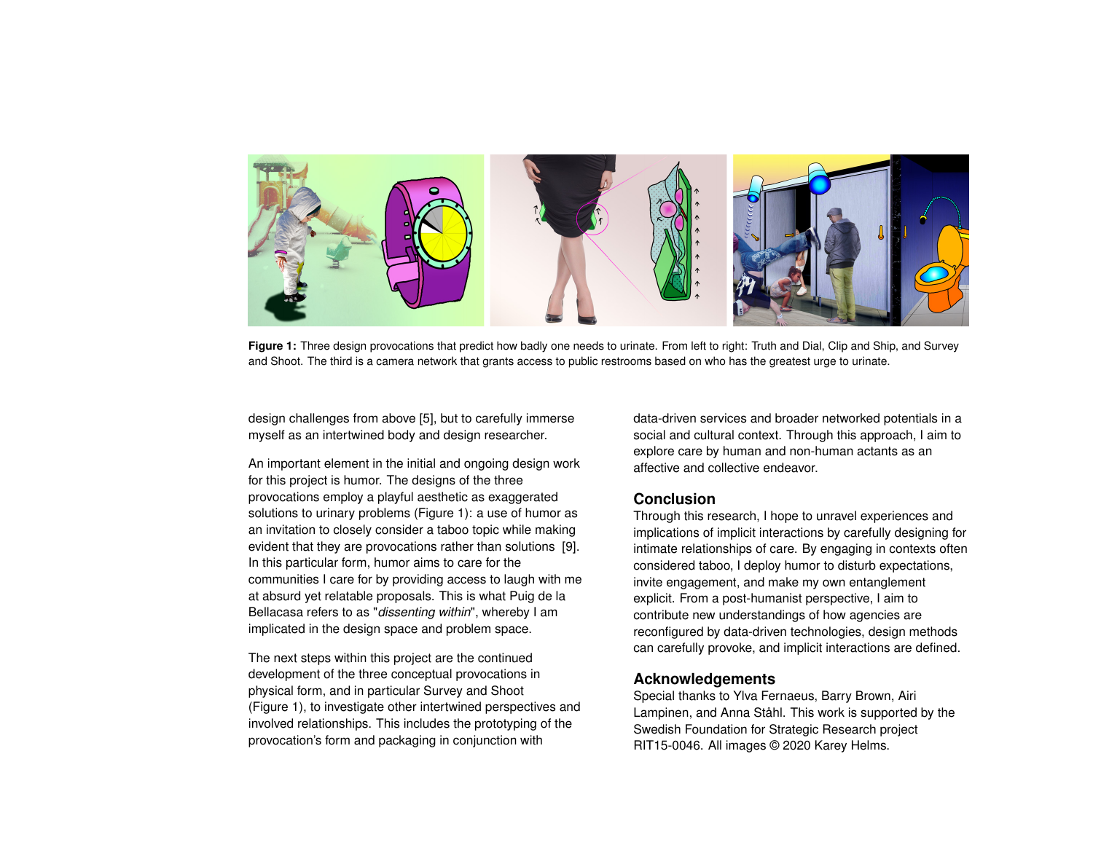<span id="page-3-0"></span>

**Figure 1:** Three design provocations that predict how badly one needs to urinate. From left to right: Truth and Dial, Clip and Ship, and Survey and Shoot. The third is a camera network that grants access to public restrooms based on who has the greatest urge to urinate.

design challenges from above [\[5\]](#page-4-11), but to carefully immerse myself as an intertwined body and design researcher.

An important element in the initial and ongoing design work for this project is humor. The designs of the three provocations employ a playful aesthetic as exaggerated solutions to urinary problems (Figure [1\)](#page-3-0): a use of humor as an invitation to closely consider a taboo topic while making evident that they are provocations rather than solutions [\[9\]](#page-4-12). In this particular form, humor aims to care for the communities I care for by providing access to laugh with me at absurd yet relatable proposals. This is what Puig de la Bellacasa refers to as "*dissenting within*", whereby I am implicated in the design space and problem space.

The next steps within this project are the continued development of the three conceptual provocations in physical form, and in particular Survey and Shoot (Figure [1\)](#page-3-0), to investigate other intertwined perspectives and involved relationships. This includes the prototyping of the provocation's form and packaging in conjunction with

data-driven services and broader networked potentials in a social and cultural context. Through this approach, I aim to explore care by human and non-human actants as an affective and collective endeavor.

# **Conclusion**

Through this research, I hope to unravel experiences and implications of implicit interactions by carefully designing for intimate relationships of care. By engaging in contexts often considered taboo, I deploy humor to disturb expectations, invite engagement, and make my own entanglement explicit. From a post-humanist perspective, I aim to contribute new understandings of how agencies are reconfigured by data-driven technologies, design methods can carefully provoke, and implicit interactions are defined.

## **Acknowledgements**

Special thanks to Ylva Fernaeus, Barry Brown, Airi Lampinen, and Anna Ståhl. This work is supported by the Swedish Foundation for Strategic Research project RIT15-0046. All images © 2020 Karey Helms.